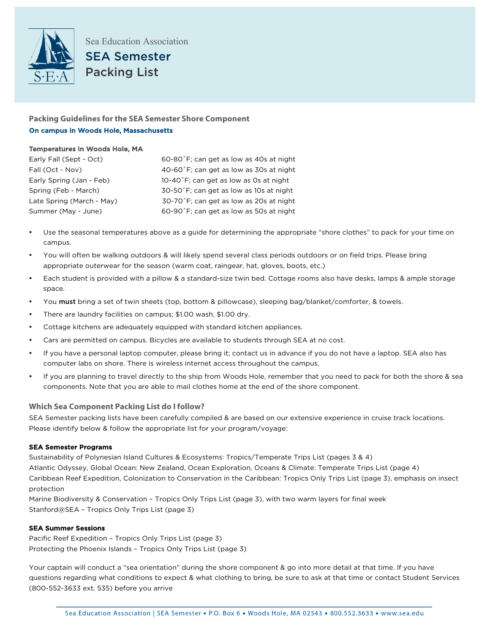

# **Packing Guidelines for the SEA Semester Shore Component**  On campus in Woods Hole, Massachusetts

## Temperatures in Woods Hole, MA

| Early Fall (Sept - Oct)   | 60-80°F; can get as low as 40s at night |
|---------------------------|-----------------------------------------|
| Fall (Oct - Nov)          | 40-60°F; can get as low as 30s at night |
| Early Spring (Jan - Feb)  | 10-40°F; can get as low as 0s at night  |
| Spring (Feb - March)      | 30-50°F; can get as low as 10s at night |
| Late Spring (March - May) | 30-70°F; can get as low as 20s at night |
| Summer (May - June)       | 60-90°F; can get as low as 50s at night |

- Use the seasonal temperatures above as a guide for determining the appropriate "shore clothes" to pack for your time on campus.
- You will often be walking outdoors & will likely spend several class periods outdoors or on field trips. Please bring appropriate outerwear for the season (warm coat, raingear, hat, gloves, boots, etc.)
- Each student is provided with a pillow & a standard-size twin bed. Cottage rooms also have desks, lamps & ample storage space.
- You must bring a set of twin sheets (top, bottom & pillowcase), sleeping bag/blanket/comforter, & towels.
- There are laundry facilities on campus; \$1.00 wash, \$1.00 dry.
- Cottage kitchens are adequately equipped with standard kitchen appliances.
- Cars are permitted on campus. Bicycles are available to students through SEA at no cost.
- If you have a personal laptop computer, please bring it; contact us in advance if you do not have a laptop. SEA also has computer labs on shore. There is wireless internet access throughout the campus.
- If you are planning to travel directly to the ship from Woods Hole, remember that you need to pack for both the shore & sea components. Note that you are able to mail clothes home at the end of the shore component.

## **Which Sea Component Packing List do I follow?**

SEA Semester packing lists have been carefully compiled & are based on our extensive experience in cruise track locations. Please identify below & follow the appropriate list for your program/voyage:

#### SEA Semester Programs

Sustainability of Polynesian Island Cultures & Ecosystems: Tropics/Temperate Trips List (pages 3 & 4) Atlantic Odyssey, Global Ocean: New Zealand, Ocean Exploration, Oceans & Climate: Temperate Trips List (page 4) Caribbean Reef Expedition, Colonization to Conservation in the Caribbean: Tropics Only Trips List (page 3), emphasis on insect protection

Marine Biodiversity & Conservation – Tropics Only Trips List (page 3), with two warm layers for final week Stanford@SEA – Tropics Only Trips List (page 3)

## SEA Summer Sessions

Pacific Reef Expedition – Tropics Only Trips List (page 3) Protecting the Phoenix Islands – Tropics Only Trips List (page 3)

Your captain will conduct a "sea orientation" during the shore component & go into more detail at that time. If you have questions regarding what conditions to expect & what clothing to bring, be sure to ask at that time or contact Student Services (800-552-3633 ext. 535) before you arrive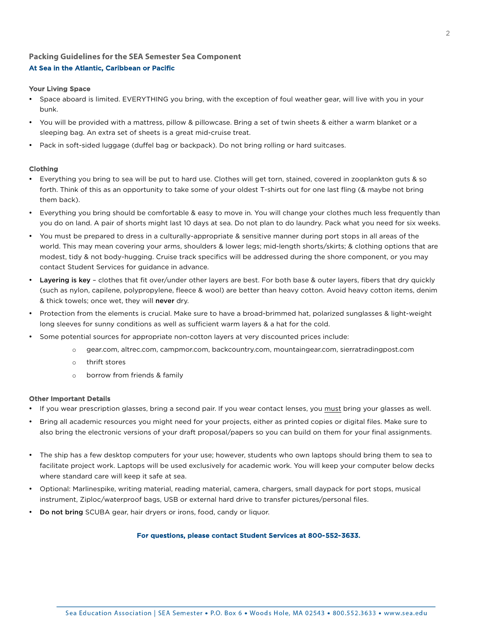## **Packing Guidelines for the SEA Semester Sea Component** At Sea in the Atlantic, Caribbean or Pacific

#### Your Living Space

- Space aboard is limited. EVERYTHING you bring, with the exception of foul weather gear, will live with you in your bunk.
- You will be provided with a mattress, pillow & pillowcase. Bring a set of twin sheets & either a warm blanket or a sleeping bag. An extra set of sheets is a great mid-cruise treat.
- Pack in soft-sided luggage (duffel bag or backpack). Do not bring rolling or hard suitcases.

#### Clothing

- Everything you bring to sea will be put to hard use. Clothes will get torn, stained, covered in zooplankton guts & so forth. Think of this as an opportunity to take some of your oldest T-shirts out for one last fling (& maybe not bring them back).
- Everything you bring should be comfortable & easy to move in. You will change your clothes much less frequently than you do on land. A pair of shorts might last 10 days at sea. Do not plan to do laundry. Pack what you need for six weeks.
- You must be prepared to dress in a culturally-appropriate & sensitive manner during port stops in all areas of the world. This may mean covering your arms, shoulders & lower legs; mid-length shorts/skirts; & clothing options that are modest, tidy & not body-hugging. Cruise track specifics will be addressed during the shore component, or you may contact Student Services for guidance in advance.
- Layering is key clothes that fit over/under other layers are best. For both base & outer layers, fibers that dry quickly (such as nylon, capilene, polypropylene, fleece & wool) are better than heavy cotton. Avoid heavy cotton items, denim & thick towels; once wet, they will never dry.
- Protection from the elements is crucial. Make sure to have a broad-brimmed hat, polarized sunglasses & light-weight long sleeves for sunny conditions as well as sufficient warm layers & a hat for the cold.
- Some potential sources for appropriate non-cotton layers at very discounted prices include:
	- o gear.com, altrec.com, campmor.com, backcountry.com, mountaingear.com, sierratradingpost.com
	- o thrift stores
	- o borrow from friends & family

#### Other Important Details

- If you wear prescription glasses, bring a second pair. If you wear contact lenses, you must bring your glasses as well.
- Bring all academic resources you might need for your projects, either as printed copies or digital files. Make sure to also bring the electronic versions of your draft proposal/papers so you can build on them for your final assignments.
- The ship has a few desktop computers for your use; however, students who own laptops should bring them to sea to facilitate project work. Laptops will be used exclusively for academic work. You will keep your computer below decks where standard care will keep it safe at sea.
- Optional: Marlinespike, writing material, reading material, camera, chargers, small daypack for port stops, musical instrument, Ziploc/waterproof bags, USB or external hard drive to transfer pictures/personal files.
- Do not bring SCUBA gear, hair dryers or irons, food, candy or liquor.

#### For questions, please contact Student Services at 800-552-3633.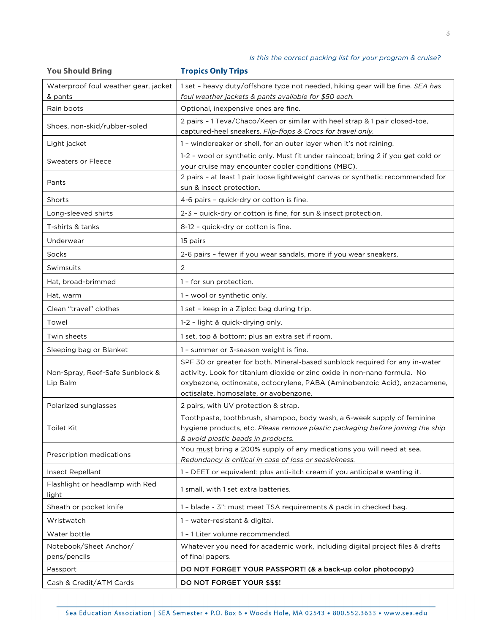3

| <b>You Should Bring</b>                     | <b>Tropics Only Trips</b>                                                                                                                                                                                                                                                        |
|---------------------------------------------|----------------------------------------------------------------------------------------------------------------------------------------------------------------------------------------------------------------------------------------------------------------------------------|
| Waterproof foul weather gear, jacket        | 1 set - heavy duty/offshore type not needed, hiking gear will be fine. SEA has                                                                                                                                                                                                   |
| & pants                                     | foul weather jackets & pants available for \$50 each.                                                                                                                                                                                                                            |
| Rain boots                                  | Optional, inexpensive ones are fine.                                                                                                                                                                                                                                             |
| Shoes, non-skid/rubber-soled                | 2 pairs - 1 Teva/Chaco/Keen or similar with heel strap & 1 pair closed-toe,<br>captured-heel sneakers. Flip-flops & Crocs for travel only.                                                                                                                                       |
| Light jacket                                | 1 - windbreaker or shell, for an outer layer when it's not raining.                                                                                                                                                                                                              |
| <b>Sweaters or Fleece</b>                   | 1-2 - wool or synthetic only. Must fit under raincoat; bring 2 if you get cold or<br>your cruise may encounter cooler conditions (MBC).                                                                                                                                          |
| Pants                                       | 2 pairs - at least 1 pair loose lightweight canvas or synthetic recommended for<br>sun & insect protection.                                                                                                                                                                      |
| Shorts                                      | 4-6 pairs - quick-dry or cotton is fine.                                                                                                                                                                                                                                         |
| Long-sleeved shirts                         | 2-3 - quick-dry or cotton is fine, for sun & insect protection.                                                                                                                                                                                                                  |
| T-shirts & tanks                            | 8-12 - quick-dry or cotton is fine.                                                                                                                                                                                                                                              |
| Underwear                                   | 15 pairs                                                                                                                                                                                                                                                                         |
| Socks                                       | 2-6 pairs - fewer if you wear sandals, more if you wear sneakers.                                                                                                                                                                                                                |
| Swimsuits                                   | 2                                                                                                                                                                                                                                                                                |
| Hat, broad-brimmed                          | 1 - for sun protection.                                                                                                                                                                                                                                                          |
| Hat, warm                                   | 1 - wool or synthetic only.                                                                                                                                                                                                                                                      |
| Clean "travel" clothes                      | 1 set - keep in a Ziploc bag during trip.                                                                                                                                                                                                                                        |
| Towel                                       | 1-2 - light & quick-drying only.                                                                                                                                                                                                                                                 |
| Twin sheets                                 | 1 set, top & bottom; plus an extra set if room.                                                                                                                                                                                                                                  |
| Sleeping bag or Blanket                     | 1 - summer or 3-season weight is fine.                                                                                                                                                                                                                                           |
| Non-Spray, Reef-Safe Sunblock &<br>Lip Balm | SPF 30 or greater for both. Mineral-based sunblock required for any in-water<br>activity. Look for titanium dioxide or zinc oxide in non-nano formula. No<br>oxybezone, octinoxate, octocrylene, PABA (Aminobenzoic Acid), enzacamene,<br>octisalate, homosalate, or avobenzone. |
| Polarized sunglasses                        | 2 pairs, with UV protection & strap.                                                                                                                                                                                                                                             |
| Toilet Kit                                  | Toothpaste, toothbrush, shampoo, body wash, a 6-week supply of feminine<br>hygiene products, etc. Please remove plastic packaging before joining the ship<br>& avoid plastic beads in products.                                                                                  |
| Prescription medications                    | You must bring a 200% supply of any medications you will need at sea.<br>Redundancy is critical in case of loss or seasickness.                                                                                                                                                  |
| Insect Repellant                            | 1 - DEET or equivalent; plus anti-itch cream if you anticipate wanting it.                                                                                                                                                                                                       |
| Flashlight or headlamp with Red<br>light    | 1 small, with 1 set extra batteries.                                                                                                                                                                                                                                             |
| Sheath or pocket knife                      | 1 - blade ~ 3"; must meet TSA requirements & pack in checked bag.                                                                                                                                                                                                                |
| Wristwatch                                  | 1 - water-resistant & digital.                                                                                                                                                                                                                                                   |
| Water bottle                                | 1 - 1 Liter volume recommended.                                                                                                                                                                                                                                                  |
| Notebook/Sheet Anchor/                      | Whatever you need for academic work, including digital project files & drafts                                                                                                                                                                                                    |
| pens/pencils                                | of final papers.                                                                                                                                                                                                                                                                 |
| Passport                                    | DO NOT FORGET YOUR PASSPORT! (& a back-up color photocopy)                                                                                                                                                                                                                       |
| Cash & Credit/ATM Cards                     | <b>DO NOT FORGET YOUR \$\$\$!</b>                                                                                                                                                                                                                                                |